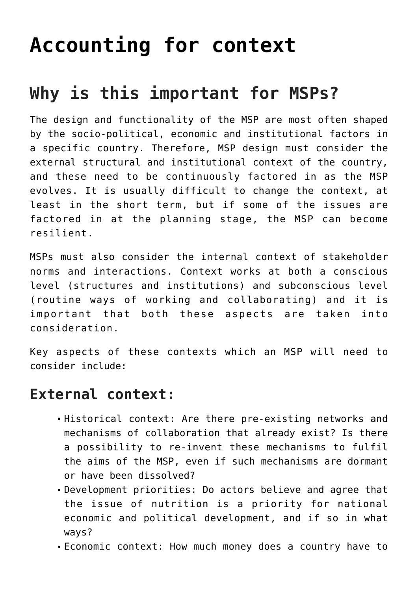# **[Accounting for context](https://msptoolkit.scalingupnutrition.org/topic/accounting-for-context/)**

## **Why is this important for MSPs?**

The design and functionality of the MSP are most often shaped by the socio-political, economic and institutional factors in a specific country. Therefore, MSP design must consider the external structural and institutional context of the country, and these need to be continuously factored in as the MSP evolves. It is usually difficult to change the context, at least in the short term, but if some of the issues are factored in at the planning stage, the MSP can become resilient.

MSPs must also consider the internal context of stakeholder norms and interactions. Context works at both a conscious level (structures and institutions) and subconscious level (routine ways of working and collaborating) and it is important that both these aspects are taken into consideration.

Key aspects of these contexts which an MSP will need to consider include:

#### **External context:**

- Historical context: Are there pre-existing networks and mechanisms of collaboration that already exist? Is there a possibility to re-invent these mechanisms to fulfil the aims of the MSP, even if such mechanisms are dormant or have been dissolved?
- Development priorities: Do actors believe and agree that the issue of nutrition is a priority for national economic and political development, and if so in what ways?
- Economic context: How much money does a country have to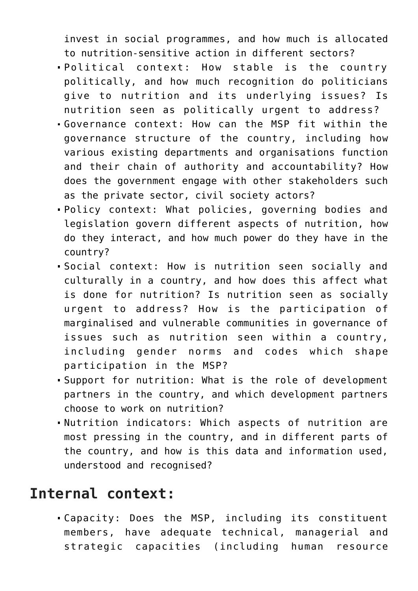invest in social programmes, and how much is allocated to nutrition-sensitive action in different sectors?

- Political context: How stable is the country politically, and how much recognition do politicians give to nutrition and its underlying issues? Is nutrition seen as politically urgent to address?
- Governance context: How can the MSP fit within the governance structure of the country, including how various existing departments and organisations function and their chain of authority and accountability? How does the government engage with other stakeholders such as the private sector, civil society actors?
- Policy context: What policies, governing bodies and legislation govern different aspects of nutrition, how do they interact, and how much power do they have in the country?
- Social context: How is nutrition seen socially and culturally in a country, and how does this affect what is done for nutrition? Is nutrition seen as socially urgent to address? How is the participation of marginalised and vulnerable communities in governance of issues such as nutrition seen within a country, including gender norms and codes which shape participation in the MSP?
- Support for nutrition: What is the role of development partners in the country, and which development partners choose to work on nutrition?
- Nutrition indicators: Which aspects of nutrition are most pressing in the country, and in different parts of the country, and how is this data and information used, understood and recognised?

### **Internal context:**

Capacity: Does the MSP, including its constituent members, have adequate technical, managerial and strategic capacities (including human resource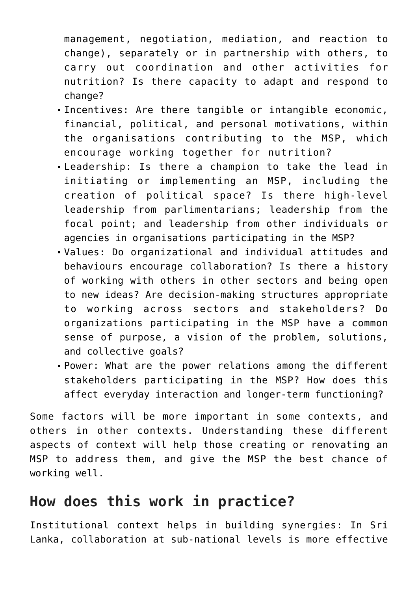management, negotiation, mediation, and reaction to change), separately or in partnership with others, to carry out coordination and other activities for nutrition? Is there capacity to adapt and respond to change?

- Incentives: Are there tangible or intangible economic, financial, political, and personal motivations, within the organisations contributing to the MSP, which encourage working together for nutrition?
- Leadership: Is there a champion to take the lead in initiating or implementing an MSP, including the creation of political space? Is there high-level leadership from parlimentarians; leadership from the focal point; and leadership from other individuals or agencies in organisations participating in the MSP?
- Values: Do organizational and individual attitudes and behaviours encourage collaboration? Is there a history of working with others in other sectors and being open to new ideas? Are decision-making structures appropriate to working across sectors and stakeholders? Do organizations participating in the MSP have a common sense of purpose, a vision of the problem, solutions, and collective goals?
- Power: What are the power relations among the different stakeholders participating in the MSP? How does this affect everyday interaction and longer-term functioning?

Some factors will be more important in some contexts, and others in other contexts. Understanding these different aspects of context will help those creating or renovating an MSP to address them, and give the MSP the best chance of working well.

#### **How does this work in practice?**

Institutional context helps in building synergies: In Sri Lanka, collaboration at sub-national levels is more effective